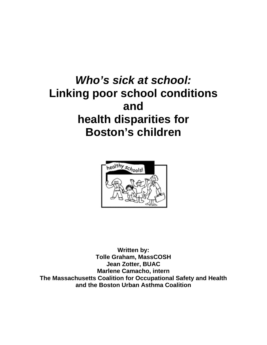# *Who's sick at school:*  **Linking poor school conditions and health disparities for Boston's children**



**Written by: Tolle Graham, MassCOSH Jean Zotter, BUAC Marlene Camacho, intern The Massachusetts Coalition for Occupational Safety and Health and the Boston Urban Asthma Coalition**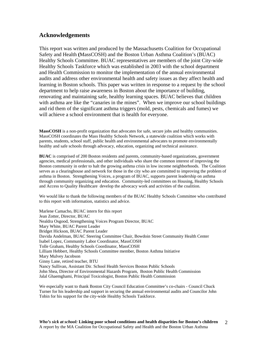# **Acknowledgements**

This report was written and produced by the Massachusetts Coalition for Occupational Safety and Health **(**MassCOSH) and the Boston Urban Asthma Coalition's (BUAC) Healthy Schools Committee. BUAC representatives are members of the joint City-wide Healthy Schools Taskforce which was established in 2003 with the school department and Health Commission to monitor the implementation of the annual environmental audits and address other environmental health and safety issues as they affect health and learning in Boston schools. This paper was written in response to a request by the school department to help raise awareness in Boston about the importance of building, renovating and maintaining safe, healthy learning spaces. BUAC believes that children with asthma are like the "canaries in the mines". When we improve our school buildings and rid them of the significant asthma triggers (mold, pests, chemicals and fumes) we will achieve a school environment that is health for everyone.

**MassCOSH** is a non-profit organization that advocates for safe, secure jobs and healthy communities. MassCOSH coordinates the Mass Healthy Schools Network, a statewide coalition which works with parents, students, school staff, public health and environmental advocates to promote environmentally healthy and safe schools through advocacy, education, organizing and technical assistance.

**BUAC** is comprised of 200 Boston residents and parents, community-based organizations, government agencies, medical professionals, and other individuals who share the common interest of improving the Boston community in order to halt the growing asthma crisis in low income neighborhoods. The Coalition serves as a clearinghouse and network for those in the city who are committed to improving the problem of asthma in Boston. Strengthening Voices, a program of BUAC, supports parent leadership on asthma through community organizing and education. Community-led committees on Housing, Healthy Schools and Access to Quality Healthcare develop the advocacy work and activities of the coalition.

We would like to thank the following members of the BUAC Healthy Schools Committee who contributed to this report with information, statistics and advice.

Marlene Camacho, BUAC intern for this report Jean Zotter, Director, BUAC Nealdra Osgood, Strengthening Voices Program Director, BUAC Mary White, BUAC Parent Leader Bridget Hickson, BUAC Parent Leader Davida Andelman, BUAC Steering Committee Chair, Bowdoin Street Community Health Center Isabel Lopez, Community Labor Coordinator, MassCOSH Tolle Graham, Healthy Schools Coordinator, MassCOSH Lilliam Hebbert, Healthy Schools Committee member, Boston Asthma Initiative Mary Mulvey Jacobson Ginny Lane, retired teacher, BTU Nancy Sullivan, Assistant Dir. School Health Services Boston Public Schools John Shea, Director of Environmental Hazards Program, Boston Public Health Commission Jalal Ghaemghami, Principal Toxicologist, Boston Public Health Commission

We especially want to thank Boston City Council Education Committee's co-chairs - Council Chuck Turner for his leadership and support in securing the annual environmental audits and Councilor John Tobin for his support for the city-wide Healthy Schools Taskforce.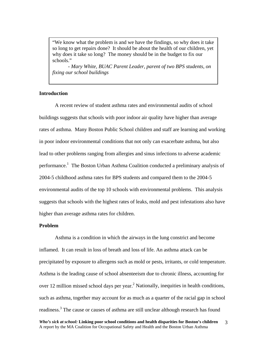"We know what the problem is and we have the findings, so why does it take so long to get repairs done? It should be about the health of our children, yet why does it take so long? The money should be in the budget to fix our schools."

 - *Mary White, BUAC Parent Leader, parent of two BPS students, on fixing our school buildings* 

# **Introduction**

A recent review of student asthma rates and environmental audits of school buildings suggests that schools with poor indoor air quality have higher than average rates of asthma. Many Boston Public School children and staff are learning and working in poor indoor environmental conditions that not only can exacerbate asthma, but also lead to other problems ranging from allergies and sinus infections to adverse academic performance.<sup>[1](#page-12-0)</sup> The Boston Urban Asthma Coalition conducted a preliminary analysis of 2004-5 childhood asthma rates for BPS students and compared them to the 2004-5 environmental audits of the top 10 schools with environmental problems. This analysis suggests that schools with the highest rates of leaks, mold and pest infestations also have higher than average asthma rates for children.

## **Problem**

Asthma is a condition in which the airways in the lung constrict and become inflamed. It can result in loss of breath and loss of life. An asthma attack can be precipitated by exposure to allergens such as mold or pests, irritants, or cold temperature. Asthma is the leading cause of school absenteeism due to chronic illness, accounting for over 12 million missed school days per year.<sup>2</sup> [N](#page-12-1)ationally, inequities in health conditions, such as asthma, together may account for as much as a quarter of the racial gap in school readiness.<sup>[3](#page-12-2)</sup> The cause or causes of asthma are still unclear although research has found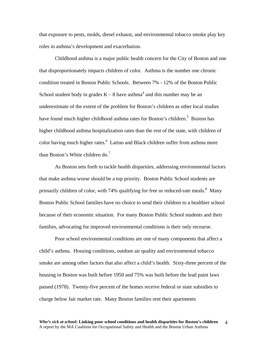that exposure to pests, molds, diesel exhaust, and environmental tobacco smoke play key roles in asthma's development and exacerbation.

Childhood asthma is a major public health concern for the City of Boston and one that disproportionately impacts children of color. Asthma is the number one chronic condition treated in Boston Public Schools. Between 7% - 12% of the Boston Public School student body in grades  $K - 8$  have asthma<sup>[4](#page-12-3)</sup> and this number may be an underestimate of the extent of the problem for Boston's children as other local studies havefound much higher childhood asthma rates for Boston's children.<sup>5</sup> Boston has higher childhood asthma hospitalization rates than the rest of the state, with children of color having much higher rates.<sup>[6](#page-12-5)</sup> Latino and Black children suffer from asthma more than Boston's White children do.<sup>[7](#page-12-6)</sup>

As Boston sets forth to tackle health disparities, addressing environmental factors that make asthma worse should be a top priority. Boston Public School students are primarily children of color, with 74% qualifying for free or reduced-rate meals. $8$  Many Boston Public School families have no choice to send their children to a healthier school because of their economic situation. For many Boston Public School students and their families, advocating for improved environmental conditions is their only recourse.

Poor school environmental conditions are one of many components that affect a child's asthma. Housing conditions, outdoor air quality and environmental tobacco smoke are among other factors that also affect a child's health. Sixty-three percent of the housing in Boston was built before 1950 and 75% was built before the lead paint laws passed (1978). Twenty-five percent of the homes receive federal or state subsidies to charge below fair market rate. Many Boston families rent their apartments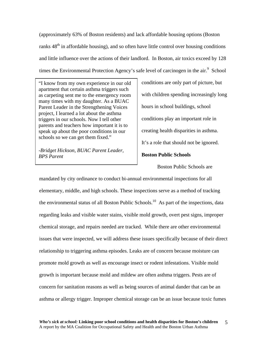(approximately 63% of Boston residents) and lack affordable housing options (Boston ranks 48<sup>th</sup> in affordable housing), and so often have little control over housing conditions and little influence over the actions of their landlord. In Boston, air toxics exceed by 128 times the Environmental Protection Agency's safe level of carcinogen in the  $air<sup>9</sup>$  $air<sup>9</sup>$  $air<sup>9</sup>$  School

"I know from my own experience in our old apartment that certain asthma triggers such as carpeting sent me to the emergency room many times with my daughter. As a BUAC Parent Leader in the Strengthening Voices project, I learned a lot about the asthma triggers in our schools. Now I tell other parents and teachers how important it is to speak up about the poor conditions in our schools so we can get them fixed."

*-Bridget Hickson, BUAC Parent Leader,*  **BPS Parent Boston Public Schools** 

conditions are only part of picture, but with children spending increasingly long hours in school buildings, school conditions play an important role in creating health disparities in asthma. It's a role that should not be ignored.

Boston Public Schools are

mandated by city ordinance to conduct bi-annual environmental inspections for all elementary, middle, and high schools. These inspections serve as a method of tracking the environmental status of all Boston Public Schools.<sup>10</sup> As part of the inspections, data regarding leaks and visible water stains, visible mold growth, overt pest signs, improper chemical storage, and repairs needed are tracked. While there are other environmental issues that were inspected, we will address these issues specifically because of their direct relationship to triggering asthma episodes. Leaks are of concern because moisture can promote mold growth as well as encourage insect or rodent infestations. Visible mold growth is important because mold and mildew are often asthma triggers. Pests are of concern for sanitation reasons as well as being sources of animal dander that can be an asthma or allergy trigger. Improper chemical storage can be an issue because toxic fumes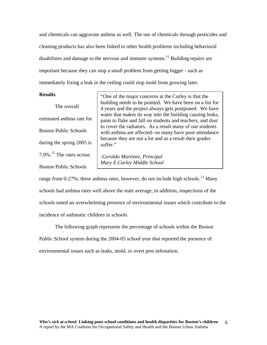and chemicals can aggravate asthma as well. The use of chemicals through pesticides and cleaning products has also been linked to other health problems including behavioral disabilities and damage to the nervous and immune systems.<sup>11</sup> Building repairs are important because they can stop a small problem from getting bigger - such as immediately fixing a leak in the ceiling could stop mold from growing later.

 The overall estimated asthma rate for Boston Public Schools during the spring 2005 is 7.0%[.12](#page-12-11) The rates across Boston Public Schools

**Results** <sup>"</sup>One of the major concerns at the Curley is that the building needs to be pointed. We have been on a list for 4 years and the project always gets postponed. We have water that makes its way into the building causing leaks, paint to flake and fall on students and teachers, and dust to cover the radiators. As a result many of our students with asthma are affected--so many have poor attendance because they are out a lot and as a result their grades suffer."

> *-Geraldo Martinez, Principal Mary E.Curley Middle School*

range from 0-27%; these asthma rates, however, do not include high schools.<sup>13</sup> Many schools had asthma rates well above the state average; in addition, inspections of the schools noted an overwhelming presence of environmental issues which contribute to the incidence of asthmatic children in schools.

The following graph represents the percentage of schools within the Boston Public School system during the 2004-05 school year that reported the presence of environmental issues such as leaks, mold, or overt pest infestation.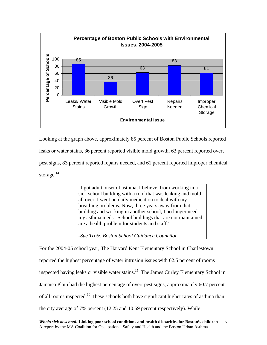

Looking at the graph above, approximately 85 percent of Boston Public Schools reported leaks or water stains, 36 percent reported visible mold growth, 63 percent reported overt pest signs, 83 percent reported repairs needed, and 61 percent reported improper chemical storage. $^{14}$ 

> "I got adult onset of asthma, I believe, from working in a sick school building with a roof that was leaking and mold all over. I went on daily medication to deal with my breathing problems. Now, three years away from that building and working in another school, I no longer need my asthma meds. School buildings that are not maintained are a health problem for students and staff."

*-Sue Trotz, Boston School Guidance Councilor* 

For the 2004-05 school year, The Harvard Kent Elementary School in Charlestown reported the highest percentage of water intrusion issues with 62.5 percent of rooms inspected having leaks or visible water stains.<sup>15</sup> The James Curley Elementary School in Jamaica Plain had the highest percentage of overt pest signs, approximately 60.7 percent of all rooms inspected.<sup>16</sup> These schools both have significant higher rates of asthma than the city average of 7% percent (12.25 and 10.69 percent respectively). While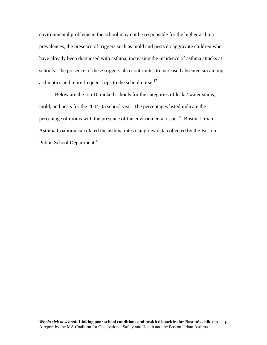environmental problems in the school may not be responsible for the higher asthma prevalences, the presence of triggers such as mold and pests do aggravate children who have already been diagnosed with asthma, increasing the incidence of asthma attacks at schools. The presence of these triggers also contributes to increased absenteeism among asthmatics and more frequent trips to the school nurse.<sup>17</sup>

Below are the top 10 ranked schools for the categories of leaks/ water stains, mold, and pests for the 2004-05 school year. The percentages listed indicate the percentage of rooms with the presence of the environmental issue.<sup>18</sup> Boston Urban Asthma Coalition calculated the asthma rates using raw data collected by the Boston Public School Department.<sup>[19](#page-12-18)</sup>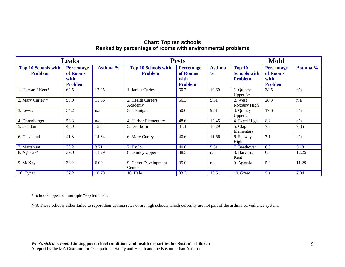# **Chart: Top ten schools Ranked by percentage of rooms with environmental problems**

| <b>Leaks</b>                                 |                                                         |          | <b>Pests</b>                                 |                                                         |                                | <b>Mold</b>                                            |                                                         |          |
|----------------------------------------------|---------------------------------------------------------|----------|----------------------------------------------|---------------------------------------------------------|--------------------------------|--------------------------------------------------------|---------------------------------------------------------|----------|
| <b>Top 10 Schools with</b><br><b>Problem</b> | <b>Percentage</b><br>of Rooms<br>with<br><b>Problem</b> | Asthma % | <b>Top 10 Schools with</b><br><b>Problem</b> | <b>Percentage</b><br>of Rooms<br>with<br><b>Problem</b> | <b>Asthma</b><br>$\frac{6}{6}$ | <b>Top 10</b><br><b>Schools with</b><br><b>Problem</b> | <b>Percentage</b><br>of Rooms<br>with<br><b>Problem</b> | Asthma % |
| 1. Harvard/Kent*                             | 62.5                                                    | 12.25    | 1. James Curley                              | 60.7                                                    | 10.69                          | 1. Quincy<br>Upper $3*$                                | 38.5                                                    | n/a      |
| 2. Mary Curley *                             | 58.0                                                    | 11.66    | 2. Health Careers<br>Academy                 | 56.3                                                    | 5.31                           | 2. West<br>Roxbury High                                | 28.3                                                    | n/a      |
| 3. Lewis                                     | 54.2                                                    | n/a      | 3. Hennigan                                  | 50.0                                                    | 9.51                           | 3. Quincy<br>Upper 2                                   | 17.6                                                    | n/a      |
| 4. Ohrenberger                               | 53.3                                                    | n/a      | 4. Harbor Elementary                         | 48.6                                                    | 12.45                          | 4. Excel High                                          | 8.2                                                     | n/a      |
| 5. Condon                                    | 46.0                                                    | 15.54    | 5. Dearborn                                  | 41.1                                                    | 16.29                          | 5. Clap<br>Elementary                                  | 7.7                                                     | 7.35     |
| 6. Cleveland                                 | 41.3                                                    | 14.34    | 6. Mary Curley                               | 40.6                                                    | 11.66                          | 6. Fenway<br>High                                      | 7.1                                                     | n/a      |
| 7. Mattahunt                                 | 39.2                                                    | 3.71     | 7. Taylor                                    | 40.0                                                    | 5.31                           | 7. Beethoven                                           | 6.8                                                     | 3.18     |
| 8. Agassiz*                                  | 39.0                                                    | 11.29    | 8. Quincy Upper 3                            | 38.5                                                    | n/a                            | 8. Harvard/<br>Kent                                    | 6.3                                                     | 12.25    |
| 9. McKay                                     | 38.2                                                    | 6.00     | 9. Carter Development<br>Center              | 35.0                                                    | n/a                            | 9. Agassiz                                             | 5.2                                                     | 11.29    |
| 10. Tynan                                    | 37.2                                                    | 10.70    | 10. Hale                                     | 33.3                                                    | 10.61                          | 10. Grew                                               | 5.1                                                     | 7.84     |

\* Schools appear on multiple "top ten" lists.

N/A These schools either failed to report their asthma rates or are high schools which currently are not part of the asthma surveillance system.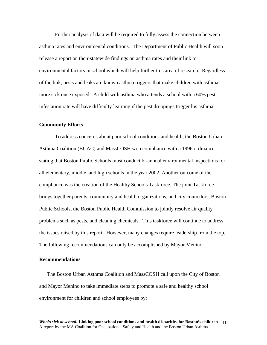Further analysis of data will be required to fully assess the connection between asthma rates and environmental conditions. The Department of Public Health will soon release a report on their statewide findings on asthma rates and their link to environmental factors in school which will help further this area of research. Regardless of the link, pests and leaks are known asthma triggers that make children with asthma more sick once exposed. A child with asthma who attends a school with a 60% pest infestation rate will have difficulty learning if the pest droppings trigger his asthma.

### **Community Efforts**

To address concerns about poor school conditions and health, the Boston Urban Asthma Coalition (BUAC) and MassCOSH won compliance with a 1996 ordinance stating that Boston Public Schools must conduct bi-annual environmental inspections for all elementary, middle, and high schools in the year 2002. Another outcome of the compliance was the creation of the Healthy Schools Taskforce. The joint Taskforce brings together parents, community and health organizations, and city councilors, Boston Public Schools, the Boston Public Health Commission to jointly resolve air quality problems such as pests, and cleaning chemicals. This taskforce will continue to address the issues raised by this report. However, many changes require leadership from the top. The following recommendations can only be accomplished by Mayor Menino.

### **Recommendations**

The Boston Urban Asthma Coalition and MassCOSH call upon the City of Boston and Mayor Menino to take immediate steps to promote a safe and healthy school environment for children and school employees by: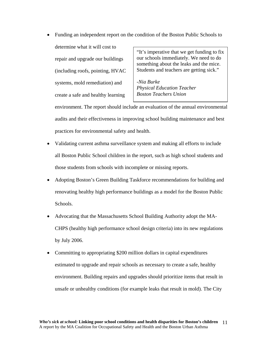"It's imperative that we get funding to fix our schools immediately. We need to do something about the leaks and the mice. Students and teachers are getting sick." *-Nia Burke Physical Education Teacher Boston Teachers Union*  • Funding an independent report on the condition of the Boston Public Schools to determine what it will cost to repair and upgrade our buildings (including roofs, pointing, HVAC systems, mold remediation) and create a safe and healthy learning

environment. The report should include an evaluation of the annual environmental audits and their effectiveness in improving school building maintenance and best practices for environmental safety and health.

- Validating current asthma surveillance system and making all efforts to include all Boston Public School children in the report, such as high school students and those students from schools with incomplete or missing reports.
- Adopting Boston's Green Building Taskforce recommendations for building and renovating healthy high performance buildings as a model for the Boston Public Schools.
- Advocating that the Massachusetts School Building Authority adopt the MA-CHPS (healthy high performance school design criteria) into its new regulations by July 2006.
- Committing to appropriating \$200 million dollars in capital expenditures estimated to upgrade and repair schools as necessary to create a safe, healthy environment. Building repairs and upgrades should prioritize items that result in unsafe or unhealthy conditions (for example leaks that result in mold). The City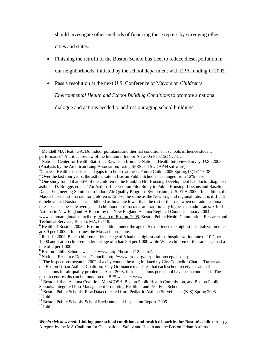should investigate other methods of financing these repairs by surveying other cities and states.

- Finishing the retrofit of the Boston School bus fleet to reduce diesel pollution in our neighborhoods, initiated by the school department with EPA funding in 2003.
- Pass a resolution at the next U.S. Conference of Mayors on *Children's*

*Environmental Health and School Building Conditions* to promote a national

dialogue and actions needed to address our aging school buildings.

<sup>4</sup> Over the last four years, the asthma rate in Boston Public Schools has ranged from 12% - 7%.

1

<sup>1</sup> Mendell MJ, Heath GA. Do indoor pollutants and thermal conditions in schools influence student performance? A critical review of the literature. Indoor Air 2005 Feb;15(1):27-52.

National Center for Health Statistics. Raw Data from the National Health Interview Survey, U.S., 2003. (Analysis by the American Lung Association, Using SPSS and SUDAAN software). <sup>3</sup>

<sup>&</sup>lt;sup>3</sup>Currie J. Health disparities and gaps in school readiness. Future Child. 2005 Spring; 15(1): 117-38.

<sup>&</sup>lt;sup>5</sup> One study found that 56% of the children in the Franklin Hill Housing Development had doctor diagnosed asthma. D. Brugge, et. al., "An Asthma Intervention Pilot Study in Public Housing: Lessons and Baseline Data," Engineering Solutions to Indoor Air Quality Programs Symposium, U.S. EPA 2000. In addition, the Massachusetts asthma rate for children is 12.3%, the same as the New England regional rate. It is difficult to believe that Boston has a childhood asthma rate lower than the rest of the state when our adult asthma rates exceeds the state average and childhood asthma rates are traditionally higher than adult rates. Child Asthma in New England: A Report by the New England Asthma Regional Council. January 2004. www.asthmaregionalcouncil.org. Health of Boston, 2005, Boston Public Health Commission, Research and

Technical Services, Boston, MA. 02118.<br><sup>6</sup> Health of Boston, 2005. Boston's children under the age of 5 experience the highest hospitalization rates

at  $8.9$  per  $1,000$  – four times the Massachusetts rate.

<sup>&</sup>lt;sup>7</sup> Ibid. In 2004, Black children under the age of 5 had the highest asthma hospitalization rate of 10.7 per 1,000 and Latino children under the age of 5 had 8.6 per 1,000 while White children of the same age had a rate of 2 per 1,000.

<sup>&</sup>lt;sup>8</sup> Boston Public Schools website: www. http://boston.k12.ma.us/.<br><sup>9</sup> National Resource Defense Council. http://www.nrdc.org/air/pollution/cep/cbos.asp.

<sup>&</sup>lt;sup>10</sup> The inspections began in 2002 of a city council hearing initiated by City Councilor Charles Turner and the Boston Urban Asthma Coalition. City Ordinance mandates that each school receive bi-annual inspections for air quality problems. As of 2003, four inspections per school have been conducted. The most recent results can be found on the BPS website: www.<br><sup>11</sup> Boston Urban Asthma Coalition, MassCOSH, Boston Public Health Commission, and Boston Public

Schools. Integrated Pest Management Promoting Healthier and Pest Free Schools<br><sup>12</sup> Boston Public Schools. Raw Data collected from Pediatric Asthma Surveillance (K-8) Spring 2005<br><sup>13</sup> Ibid<br><sup>14</sup> Boston Public Schools. School